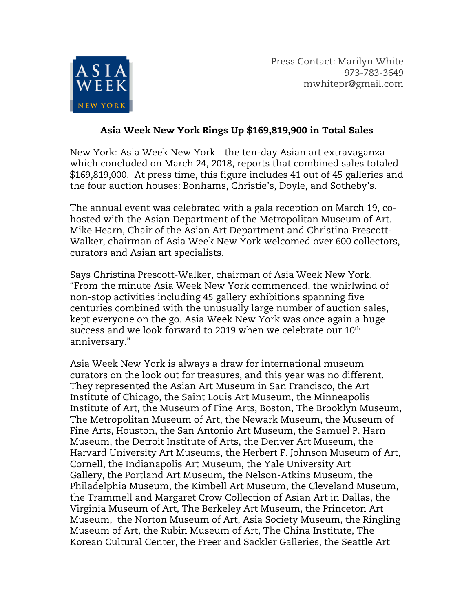

Press Contact: Marilyn White 973-783-3649 mwhitepr@gmail.com

# Asia Week New York Rings Up \$169,819,900 in Total Sales

New York: Asia Week New York—the ten-day Asian art extravaganza which concluded on March 24, 2018, reports that combined sales totaled \$169,819,000. At press time, this figure includes 41 out of 45 galleries and the four auction houses: Bonhams, Christie's, Doyle, and Sotheby's.

The annual event was celebrated with a gala reception on March 19, cohosted with the Asian Department of the Metropolitan Museum of Art. Mike Hearn, Chair of the Asian Art Department and Christina Prescott-Walker, chairman of Asia Week New York welcomed over 600 collectors, curators and Asian art specialists.

Says Christina Prescott-Walker, chairman of Asia Week New York. "From the minute Asia Week New York commenced, the whirlwind of non-stop activities including 45 gallery exhibitions spanning five centuries combined with the unusually large number of auction sales, kept everyone on the go. Asia Week New York was once again a huge success and we look forward to 2019 when we celebrate our 10<sup>th</sup> anniversary."

Asia Week New York is always a draw for international museum curators on the look out for treasures, and this year was no different. They represented the Asian Art Museum in San Francisco, the Art Institute of Chicago, the Saint Louis Art Museum, the Minneapolis Institute of Art, the Museum of Fine Arts, Boston, The Brooklyn Museum, The Metropolitan Museum of Art, the Newark Museum, the Museum of Fine Arts, Houston, the San Antonio Art Museum, the Samuel P. Harn Museum, the Detroit Institute of Arts, the Denver Art Museum, the Harvard University Art Museums, the Herbert F. Johnson Museum of Art, Cornell, the Indianapolis Art Museum, the Yale University Art Gallery, the Portland Art Museum, the Nelson-Atkins Museum, the Philadelphia Museum, the Kimbell Art Museum, the Cleveland Museum, the Trammell and Margaret Crow Collection of Asian Art in Dallas, the Virginia Museum of Art, The Berkeley Art Museum, the Princeton Art Museum, the Norton Museum of Art, Asia Society Museum, the Ringling Museum of Art, the Rubin Museum of Art, The China Institute, The Korean Cultural Center, the Freer and Sackler Galleries, the Seattle Art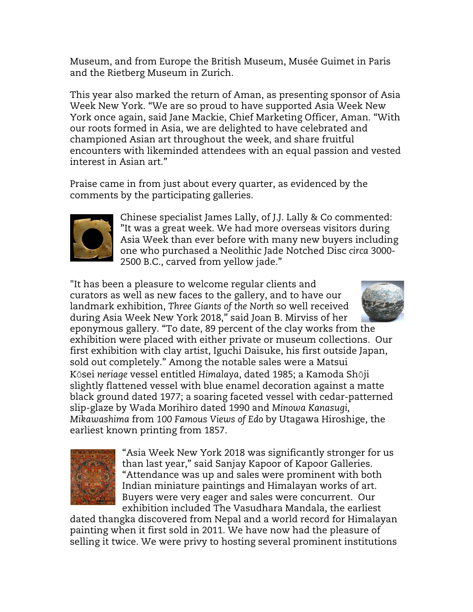Museum, and from Europe the British Museum, Musée Guimet in Paris and the Rietberg Museum in Zurich.

This year also marked the return of Aman, as presenting sponsor of Asia Week New York. "We are so proud to have supported Asia Week New York once again, said Jane Mackie, Chief Marketing Officer, Aman. "With our roots formed in Asia, we are delighted to have celebrated and championed Asian art throughout the week, and share fruitful encounters with likeminded attendees with an equal passion and vested interest in Asian art."

Praise came in from just about every quarter, as evidenced by the comments by the participating galleries.



Chinese specialist James Lally, of J.J. Lally & Co commented: "It was a great week. We had more overseas visitors during Asia Week than ever before with many new buyers including one who purchased a Neolithic Jade Notched Disc *circa* 3000- 2500 B.C., carved from yellow jade."

"It has been a pleasure to welcome regular clients and curators as well as new faces to the gallery, and to have our landmark exhibition, *Three Giants of the North* so well received during Asia Week New York 2018," said Joan B. Mirviss of her



eponymous gallery. "To date, 89 percent of the clay works from the exhibition were placed with either private or museum collections. Our first exhibition with clay artist, Iguchi Daisuke, his first outside Japan, sold out completely." Among the notable sales were a Matsui Kōsei *neriage* vessel entitled *Himalaya*, dated 1985; a Kamoda Shōji slightly flattened vessel with blue enamel decoration against a matte black ground dated 1977; a soaring faceted vessel with cedar-patterned slip-glaze by Wada Morihiro dated 1990 and *Minowa Kanasugi, Mikawashima* from *100 Famous Views of Edo* by Utagawa Hiroshige, the earliest known printing from 1857.



"Asia Week New York 2018 was significantly stronger for us than last year," said Sanjay Kapoor of Kapoor Galleries. "Attendance was up and sales were prominent with both Indian miniature paintings and Himalayan works of art. Buyers were very eager and sales were concurrent. Our exhibition included The Vasudhara Mandala, the earliest

dated thangka discovered from Nepal and a world record for Himalayan painting when it first sold in 2011. We have now had the pleasure of selling it twice. We were privy to hosting several prominent institutions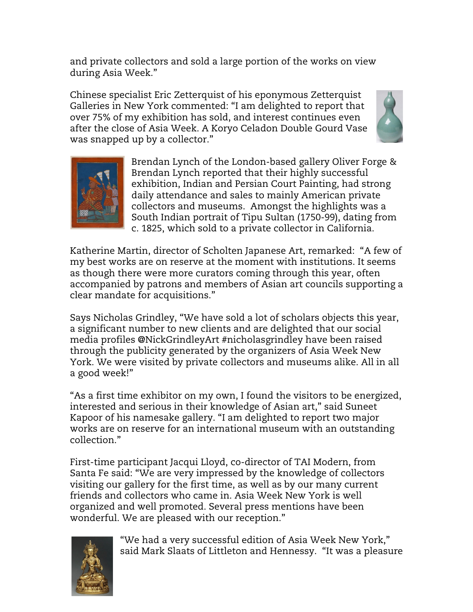and private collectors and sold a large portion of the works on view during Asia Week."

Chinese specialist Eric Zetterquist of his eponymous Zetterquist Galleries in New York commented: "I am delighted to report that over 75% of my exhibition has sold, and interest continues even after the close of Asia Week. A Koryo Celadon Double Gourd Vase was snapped up by a collector."





Brendan Lynch of the London-based gallery Oliver Forge & Brendan Lynch reported that their highly successful exhibition, Indian and Persian Court Painting, had strong daily attendance and sales to mainly American private collectors and museums. Amongst the highlights was a South Indian portrait of Tipu Sultan (1750-99), dating from c. 1825, which sold to a private collector in California.

Katherine Martin, director of Scholten Japanese Art, remarked: "A few of my best works are on reserve at the moment with institutions. It seems as though there were more curators coming through this year, often accompanied by patrons and members of Asian art councils supporting a clear mandate for acquisitions."

Says Nicholas Grindley, "We have sold a lot of scholars objects this year, a significant number to new clients and are delighted that our social media profiles @NickGrindleyArt #nicholasgrindley have been raised through the publicity generated by the organizers of Asia Week New York. We were visited by private collectors and museums alike. All in all a good week!"

"As a first time exhibitor on my own, I found the visitors to be energized, interested and serious in their knowledge of Asian art," said Suneet Kapoor of his namesake gallery. "I am delighted to report two major works are on reserve for an international museum with an outstanding collection."

First-time participant Jacqui Lloyd, co-director of TAI Modern, from Santa Fe said: "We are very impressed by the knowledge of collectors visiting our gallery for the first time, as well as by our many current friends and collectors who came in. Asia Week New York is well organized and well promoted. Several press mentions have been wonderful. We are pleased with our reception."



"We had a very successful edition of Asia Week New York," said Mark Slaats of Littleton and Hennessy. "It was a pleasure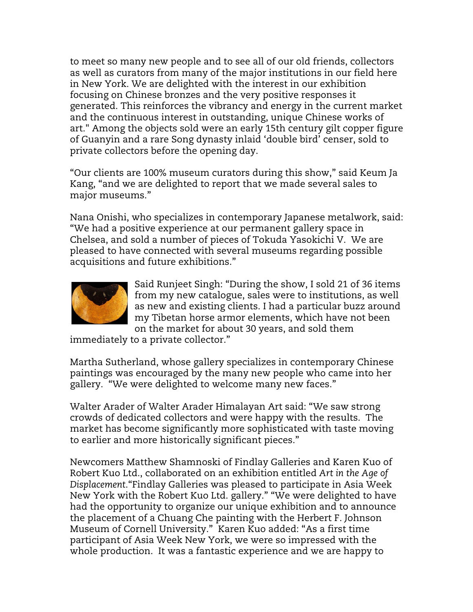to meet so many new people and to see all of our old friends, collectors as well as curators from many of the major institutions in our field here in New York. We are delighted with the interest in our exhibition focusing on Chinese bronzes and the very positive responses it generated. This reinforces the vibrancy and energy in the current market and the continuous interest in outstanding, unique Chinese works of art." Among the objects sold were an early 15th century gilt copper figure of Guanyin and a rare Song dynasty inlaid 'double bird' censer, sold to private collectors before the opening day.

"Our clients are 100% museum curators during this show," said Keum Ja Kang, "and we are delighted to report that we made several sales to major museums."

Nana Onishi, who specializes in contemporary Japanese metalwork, said: "We had a positive experience at our permanent gallery space in Chelsea, and sold a number of pieces of Tokuda Yasokichi V. We are pleased to have connected with several museums regarding possible acquisitions and future exhibitions."



Said Runjeet Singh: "During the show, I sold 21 of 36 items from my new catalogue, sales were to institutions, as well as new and existing clients. I had a particular buzz around my Tibetan horse armor elements, which have not been on the market for about 30 years, and sold them

immediately to a private collector."

Martha Sutherland, whose gallery specializes in contemporary Chinese paintings was encouraged by the many new people who came into her gallery. "We were delighted to welcome many new faces."

Walter Arader of Walter Arader Himalayan Art said: "We saw strong crowds of dedicated collectors and were happy with the results. The market has become significantly more sophisticated with taste moving to earlier and more historically significant pieces."

Newcomers Matthew Shamnoski of Findlay Galleries and Karen Kuo of Robert Kuo Ltd., collaborated on an exhibition entitled *Art in the Age of Displacement*."Findlay Galleries was pleased to participate in Asia Week New York with the Robert Kuo Ltd. gallery." "We were delighted to have had the opportunity to organize our unique exhibition and to announce the placement of a Chuang Che painting with the Herbert F. Johnson Museum of Cornell University." Karen Kuo added: "As a first time participant of Asia Week New York, we were so impressed with the whole production. It was a fantastic experience and we are happy to